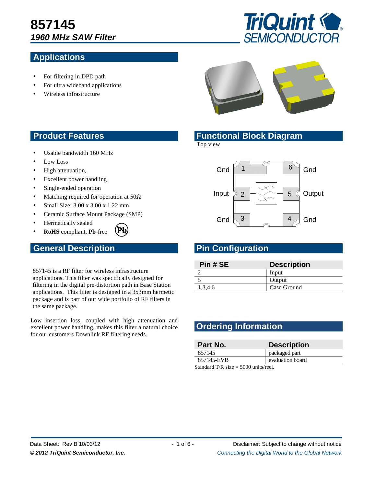# **857145 1960 MHz SAW Filter**

# **Applications**



- For filtering in DPD path
- For ultra wideband applications
- Wireless infrastructure



- Usable bandwidth 160 MHz
- Low Loss
- High attenuation,
- Excellent power handling
- Single-ended operation
- Matching required for operation at  $50\Omega$
- Small Size: 3.00 x 3.00 x 1.22 mm
- Ceramic Surface Mount Package (SMP)
- Hermetically sealed
- **RoHS** compliant, **Pb**-free

# **General Description Configuration Research Pin Configuration**

857145 is a RF filter for wireless infrastructure applications. This filter was specifically designed for filtering in the digital pre-distortion path in Base Station applications. This filter is designed in a 3x3mm hermetic package and is part of our wide portfolio of RF filters in the same package.

**Pb**

Low insertion loss, coupled with high attenuation and excellent power handling, makes this filter a natural choice for our customers Downlink RF filtering needs.

#### **Product Features Functional Block Diagram**

Top view



| Pin # SE | <b>Description</b> |
|----------|--------------------|
|          | Input              |
|          | Output             |
| 1,3,4,6  | Case Ground        |

# **Ordering Information**

| Part No.                                | <b>Description</b> |  |
|-----------------------------------------|--------------------|--|
| 857145                                  | packaged part      |  |
| 857145-EVB                              | evaluation board   |  |
| $Standard T/R$ $eize - 5000$ unite/reel |                    |  |

 $\alpha$  i/k size = 5000 units/reel.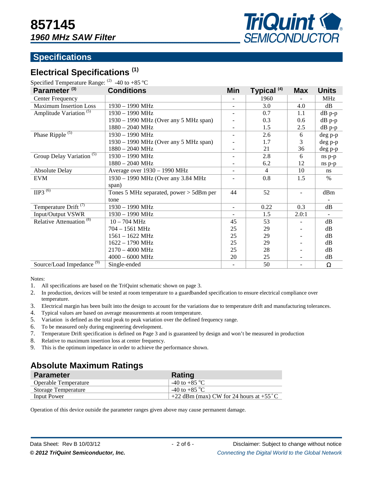

# **Specifications**

# **Electrical Specifications (1)**

Specified Temperature Range:  $^{(2)}$  -40 to +85 °C

| Parameter <sup>(3)</sup>             | <b>Conditions</b>                         | Min                      | Typical <sup>(4)</sup> | <b>Max</b> | <b>Units</b>   |
|--------------------------------------|-------------------------------------------|--------------------------|------------------------|------------|----------------|
| Center Frequency                     |                                           |                          | 1960                   |            | <b>MHz</b>     |
| <b>Maximum Insertion Loss</b>        | 1930 - 1990 MHz                           |                          | 3.0                    | 4.0        | dB             |
| Amplitude Variation <sup>(5)</sup>   | 1930 - 1990 MHz                           |                          | 0.7                    | 1.1        | dB p-p         |
|                                      | 1930 – 1990 MHz (Over any 5 MHz span)     |                          | 0.3                    | 0.6        | dB p-p         |
|                                      | $1880 - 2040$ MHz                         |                          | 1.5                    | 2.5        | $dB$ p-p       |
| Phase Ripple <sup>(5)</sup>          | 1930 - 1990 MHz                           |                          | 2.6                    | 6          | $deg p-p$      |
|                                      | 1930 – 1990 MHz (Over any 5 MHz span)     |                          | 1.7                    | 3          | deg p-p        |
|                                      | $1880 - 2040$ MHz                         |                          | 21                     | 36         | deg p-p        |
| Group Delay Variation <sup>(5)</sup> | 1930 - 1990 MHz                           |                          | 2.8                    | 6          | ns p-p         |
|                                      | $1880 - 2040$ MHz                         |                          | 6.2                    | 12         | ns p-p         |
| <b>Absolute Delay</b>                | Average over 1930 - 1990 MHz              | $\blacksquare$           | $\overline{4}$         | 10         | <sub>ns</sub>  |
| <b>EVM</b>                           | 1930 - 1990 MHz (Over any 3.84 MHz        |                          | 0.8                    | 1.5        | $\%$           |
|                                      | span)                                     |                          |                        |            |                |
| $\overline{HP3}^{(6)}$               | Tones 5 MHz separated, power $>$ 5dBm per | 44                       | 52                     |            | dBm            |
|                                      | tone                                      |                          |                        |            |                |
| Temperature Drift <sup>(7)</sup>     | 1930 - 1990 MHz                           | $\blacksquare$           | 0.22                   | 0.3        | dB             |
| <b>Input/Output VSWR</b>             | 1930 - 1990 MHz                           | $\overline{\phantom{a}}$ | 1.5                    | 2.0:1      | $\blacksquare$ |
| Relative Attenuation <sup>(8)</sup>  | $10 - 704 \text{ MHz}$                    | 45                       | 53                     |            | dB             |
|                                      | $704 - 1561$ MHz                          | 25                       | 29                     |            | dB             |
|                                      | $1561 - 1622 \text{ MHz}$                 | 25                       | 29                     |            | dB             |
|                                      | $1622 - 1790$ MHz                         | 25                       | 29                     |            | dB             |
|                                      | $2170 - 4000$ MHz                         | 25                       | 28                     |            | dB             |
|                                      | $4000 - 6000$ MHz                         | 20                       | 25                     |            | dB             |
| Source/Load Impedance <sup>(9)</sup> | Single-ended                              |                          | 50                     |            | $\Omega$       |

Notes:

- 1. All specifications are based on the TriQuint schematic shown on page 3.
- 2. In production, devices will be tested at room temperature to a guardbanded specification to ensure electrical compliance over temperature.
- 3. Electrical margin has been built into the design to account for the variations due to temperature drift and manufacturing tolerances.
- 4. Typical values are based on average measurements at room temperature.
- 5. Variation is defined as the total peak to peak variation over the defined frequency range.
- 6. To be measured only during engineering development.
- 7. Temperature Drift specification is defined on Page 3 and is guaranteed by design and won't be measured in production
- 8. Relative to maximum insertion loss at center frequency.
- 9. This is the optimum impedance in order to achieve the performance shown.

# **Absolute Maximum Ratings**

| <b>Parameter</b>     | Rating                                           |
|----------------------|--------------------------------------------------|
| Operable Temperature | -40 to +85 $^{\circ}$ C                          |
| Storage Temperature  | -40 to +85 $^{\circ}$ C                          |
| Input Power          | +22 dBm (max) CW for 24 hours at $+55^{\circ}$ C |

Operation of this device outside the parameter ranges given above may cause permanent damage.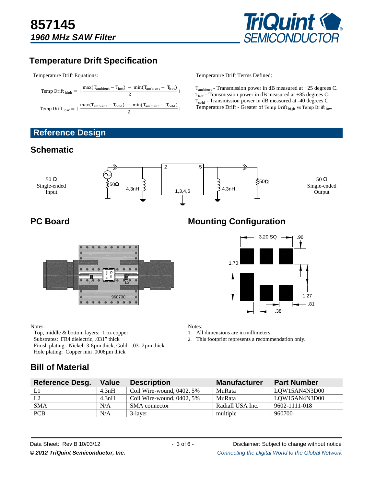

# **Temperature Drift Specification**

Temperature Drift Equations:

$$
Temp \; Drift_{\; high} \; = \; |\; \frac{max(T_{\rm ambient}-T_{\rm hot})\; -\; min(T_{\rm ambient}-T_{\rm hot})}{2}\;|
$$
\n
$$
Temp \; Drift_{\; low} \; = \; |\; \frac{max(T_{\rm ambient}-T_{\rm cold})\; -\; min(T_{\rm ambient}-T_{\rm cold})}{2}\;|
$$

**Reference Design** 

# **Schematic**

Temperature Drift Terms Defined:

 $T_{ambient}$  - Transmission power in dB measured at +25 degrees C.  $T_{hot}$  - Transmission power in dB measured at +85 degrees C. T<sub>cold</sub> - Transmission power in dB measured at -40 degrees C. Temperature Drift - Greater of Temp Drift high vs Temp Drift low





#### Notes:

Top, middle & bottom layers: 1 oz copper Substrates: FR4 dielectric, .031" thick Finish plating: Nickel: 3-8µm thick, Gold: .03-.2µm thick Hole plating: Copper min .0008µm thick

# **PC Board Mounting Configuration Mounting Configuration**



Notes:

1. All dimensions are in millimeters.

2. This footprint represents a recommendation only.

# **Bill of Material**

| <b>Reference Desg.</b> | <b>Value</b> | <b>Description</b>           | <b>Manufacturer</b> | <b>Part Number</b> |
|------------------------|--------------|------------------------------|---------------------|--------------------|
|                        | 4.3nH        | Coil Wire-wound, 0402, 5%    | MuRata              | LQW15AN4N3D00      |
| L2                     | 4.3nH        | Coil Wire-wound, $0402, 5\%$ | MuRata              | LOW15AN4N3D00      |
| <b>SMA</b>             | N/A          | SMA connector                | Radiall USA Inc.    | 9602-1111-018      |
| <b>PCB</b>             | N/A          | 3-layer                      | multiple            | 960700             |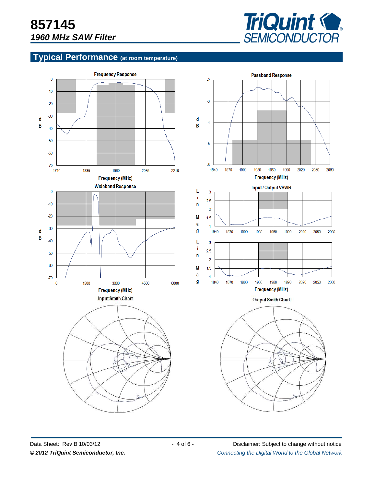

# **Typical Performance (at room temperature)**



Data Sheet: Rev B 10/03/12 - 4 of 6 - Disclaimer: Subject to change without notice © 2012 TriQuint Semiconductor, Inc. **Connecting the Digital World to the Global Network**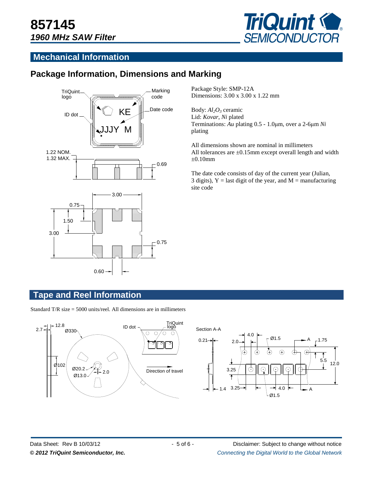

## **Mechanical Information**

# **Package Information, Dimensions and Marking**



Package Style: SMP-12A Dimensions: 3.00 x 3.00 x 1.22 mm

Body: *Al2O3* ceramic Lid: *Kovar*, *Ni* plated Terminations: *Au* plating 0.5 - 1.0µm, over a 2-6µm *Ni* plating

All dimensions shown are nominal in millimeters All tolerances are ±0.15mm except overall length and width  $\pm 0.10$ mm

The date code consists of day of the current year (Julian, 3 digits),  $Y =$  last digit of the year, and  $M =$  manufacturing site code

#### **Tape and Reel Information**

Standard T/R size = 5000 units/reel. All dimensions are in millimeters